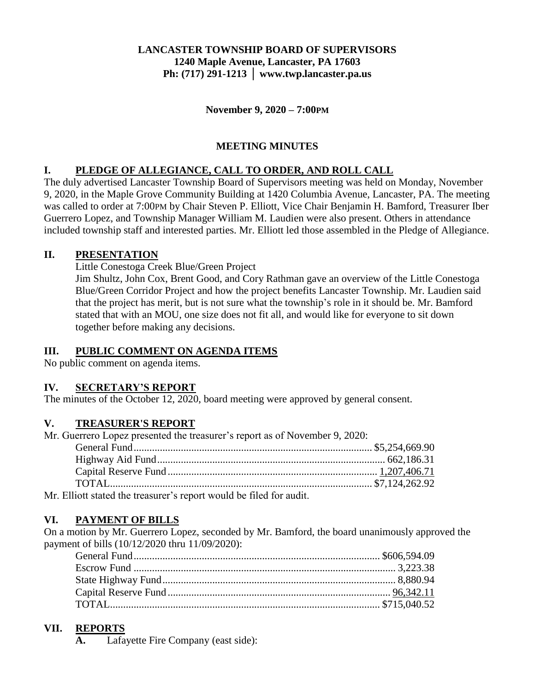## **LANCASTER TOWNSHIP BOARD OF SUPERVISORS 1240 Maple Avenue, Lancaster, PA 17603 Ph: (717) 291-1213 │ www.twp.lancaster.pa.us**

**November 9, 2020 – 7:00PM**

# **MEETING MINUTES**

## **I. PLEDGE OF ALLEGIANCE, CALL TO ORDER, AND ROLL CALL**

The duly advertised Lancaster Township Board of Supervisors meeting was held on Monday, November 9, 2020, in the Maple Grove Community Building at 1420 Columbia Avenue, Lancaster, PA. The meeting was called to order at 7:00PM by Chair Steven P. Elliott, Vice Chair Benjamin H. Bamford, Treasurer Iber Guerrero Lopez, and Township Manager William M. Laudien were also present. Others in attendance included township staff and interested parties. Mr. Elliott led those assembled in the Pledge of Allegiance.

### **II. PRESENTATION**

Little Conestoga Creek Blue/Green Project

Jim Shultz, John Cox, Brent Good, and Cory Rathman gave an overview of the Little Conestoga Blue/Green Corridor Project and how the project benefits Lancaster Township. Mr. Laudien said that the project has merit, but is not sure what the township's role in it should be. Mr. Bamford stated that with an MOU, one size does not fit all, and would like for everyone to sit down together before making any decisions.

# **III. PUBLIC COMMENT ON AGENDA ITEMS**

No public comment on agenda items.

# **IV. SECRETARY'S REPORT**

The minutes of the October 12, 2020, board meeting were approved by general consent.

# **V. TREASURER'S REPORT**

| Mr. Guerrero Lopez presented the treasurer's report as of November 9, 2020:                                                                                                                                                                                                           |  |
|---------------------------------------------------------------------------------------------------------------------------------------------------------------------------------------------------------------------------------------------------------------------------------------|--|
|                                                                                                                                                                                                                                                                                       |  |
|                                                                                                                                                                                                                                                                                       |  |
|                                                                                                                                                                                                                                                                                       |  |
|                                                                                                                                                                                                                                                                                       |  |
| $\mathbf{M}$ , and the contract $\mathbf{M}$ , and $\mathbf{M}$ , and $\mathbf{M}$ , and $\mathbf{M}$ , and $\mathbf{M}$ , and $\mathbf{M}$ , and $\mathbf{M}$ , and $\mathbf{M}$ , and $\mathbf{M}$ , and $\mathbf{M}$ , and $\mathbf{M}$ , and $\mathbf{M}$ , and $\mathbf{M}$ , an |  |

Mr. Elliott stated the treasurer's report would be filed for audit.

# **VI. PAYMENT OF BILLS**

On a motion by Mr. Guerrero Lopez, seconded by Mr. Bamford, the board unanimously approved the payment of bills (10/12/2020 thru 11/09/2020):

#### **VII. REPORTS**

**A.** Lafayette Fire Company (east side):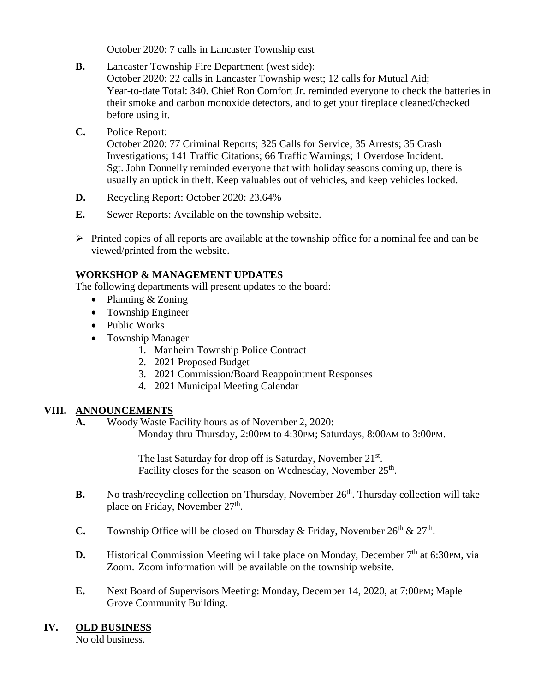October 2020: 7 calls in Lancaster Township east

- **B.** Lancaster Township Fire Department (west side): October 2020: 22 calls in Lancaster Township west; 12 calls for Mutual Aid; Year-to-date Total: 340. Chief Ron Comfort Jr. reminded everyone to check the batteries in their smoke and carbon monoxide detectors, and to get your fireplace cleaned/checked before using it.
- **C.** Police Report:

October 2020: 77 Criminal Reports; 325 Calls for Service; 35 Arrests; 35 Crash Investigations; 141 Traffic Citations; 66 Traffic Warnings; 1 Overdose Incident. Sgt. John Donnelly reminded everyone that with holiday seasons coming up, there is usually an uptick in theft. Keep valuables out of vehicles, and keep vehicles locked.

- **D.** Recycling Report: October 2020: 23.64%
- **E.** Sewer Reports: Available on the township website.
- $\triangleright$  Printed copies of all reports are available at the township office for a nominal fee and can be viewed/printed from the website.

#### **WORKSHOP & MANAGEMENT UPDATES**

The following departments will present updates to the board:

- Planning & Zoning
- Township Engineer
- Public Works
- Township Manager
	- 1. Manheim Township Police Contract
	- 2. 2021 Proposed Budget
	- 3. 2021 Commission/Board Reappointment Responses
	- 4. 2021 Municipal Meeting Calendar

#### **VIII. ANNOUNCEMENTS**

**A.** Woody Waste Facility hours as of November 2, 2020: Monday thru Thursday, 2:00PM to 4:30PM; Saturdays, 8:00AM to 3:00PM.

> The last Saturday for drop off is Saturday, November 21st. Facility closes for the season on Wednesday, November 25<sup>th</sup>.

- **B.** No trash/recycling collection on Thursday, November 26<sup>th</sup>. Thursday collection will take place on Friday, November 27<sup>th</sup>.
- **C.** Township Office will be closed on Thursday & Friday, November  $26<sup>th</sup>$  &  $27<sup>th</sup>$ .
- **D.** Historical Commission Meeting will take place on Monday, December 7<sup>th</sup> at 6:30PM, via Zoom. Zoom information will be available on the township website.
- **E.** Next Board of Supervisors Meeting: Monday, December 14, 2020, at 7:00PM; Maple Grove Community Building.

#### **IV. OLD BUSINESS**

No old business.